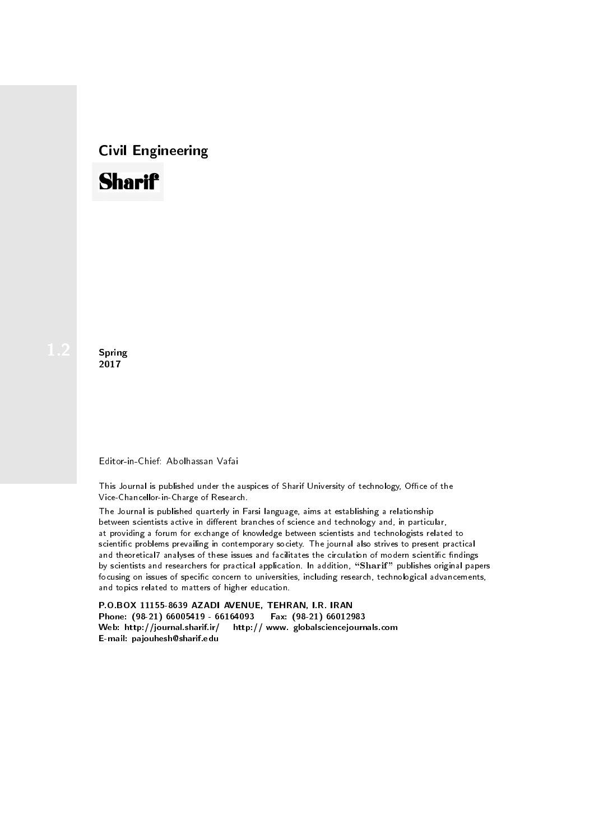# Civil Engineering



**Spring** 2017

#### Editor-in-Chief: Abolhassan Vafai

This Journal is published under the auspices of Sharif University of technology, Office of the Vice-Chancellor-in-Charge of Research.

The Journal is published quarterly in Farsi language, aims at establishing a relationship between scientists active in different branches of science and technology and, in particular, at providing a forum for exchange of knowledge between scientists and technologists related to scientic problems prevailing in contemporary society. The journal also strives to present practical and theoretical7 analyses of these issues and facilitates the circulation of modern scientific findings by scientists and researchers for practical application. In addition, "Sharif" publishes original papers focusing on issues of specific concern to universities, including research, technological advancements, and topics related to matters of higher education.

P.O.BOX 11155-8639 AZADI AVENUE, TEHRAN, I.R. IRAN Phone: (98-21) 66005419 - 66164093 Fax: (98-21) 66012983 Web: http://journal.sharif.ir/ http:// www. globalsciencejournals.com E-mail: pajouhesh@sharif.edu